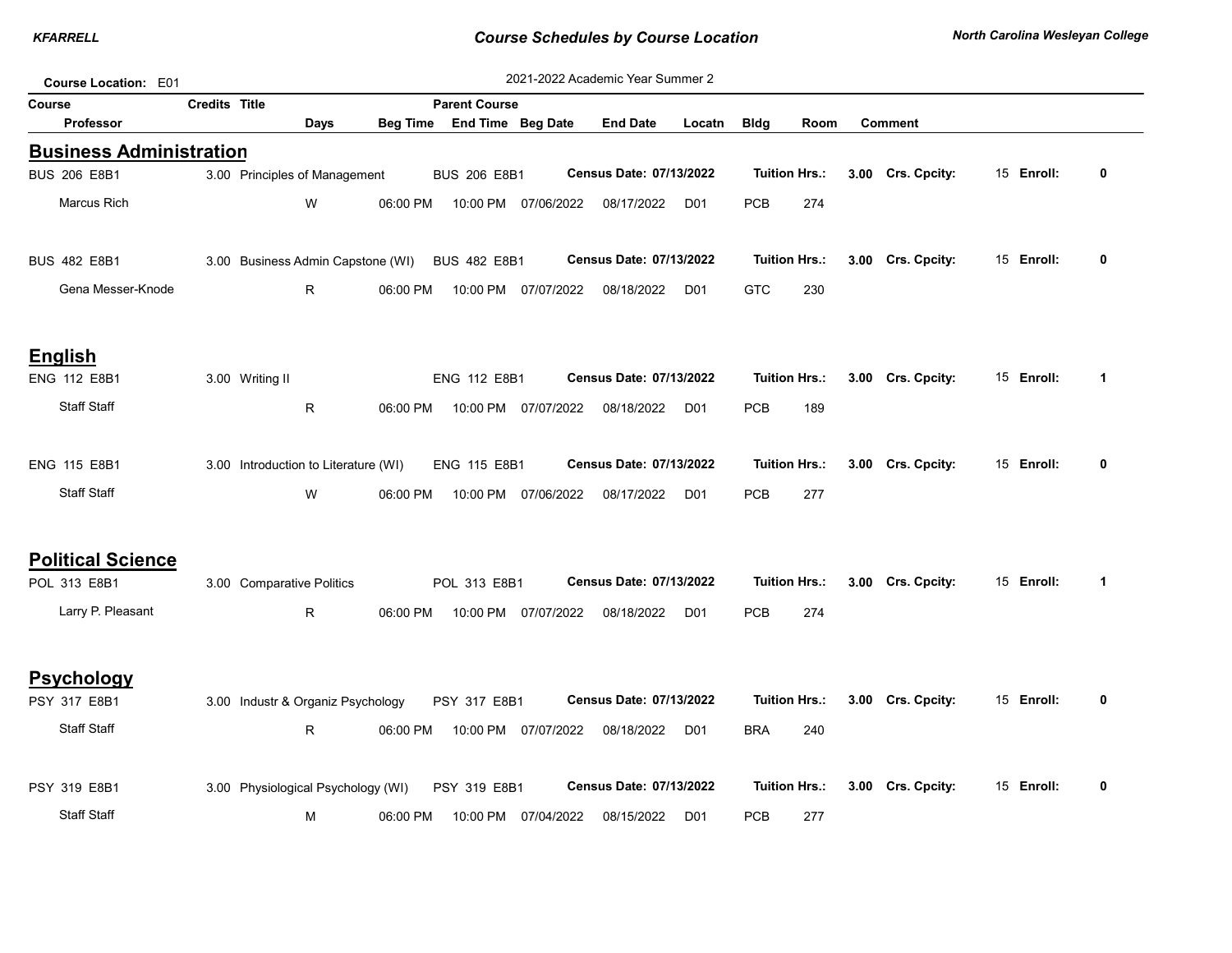| <b>Course Location: E01</b>    |                      |                           |                                      |                 |                                                |                     | 2021-2022 Academic Year Summer 2 |                 |             |                      |                   |            |                      |
|--------------------------------|----------------------|---------------------------|--------------------------------------|-----------------|------------------------------------------------|---------------------|----------------------------------|-----------------|-------------|----------------------|-------------------|------------|----------------------|
| Course                         | <b>Credits Title</b> | <b>Parent Course</b>      |                                      |                 |                                                |                     |                                  |                 |             |                      |                   |            |                      |
| <b>Professor</b>               |                      |                           | Days                                 | <b>Beg Time</b> |                                                | End Time Beg Date   | <b>End Date</b>                  | Locatn          | <b>Bldg</b> | Room                 | <b>Comment</b>    |            |                      |
| <b>Business Administration</b> |                      |                           |                                      |                 |                                                |                     |                                  |                 |             |                      |                   |            |                      |
| <b>BUS 206 E8B1</b>            |                      |                           | 3.00 Principles of Management        |                 | <b>BUS 206 E8B1</b>                            |                     | Census Date: 07/13/2022          |                 |             | <b>Tuition Hrs.:</b> | 3.00 Crs. Cpcity: | 15 Enroll: | 0                    |
| Marcus Rich                    |                      |                           | W                                    | 06:00 PM        |                                                | 10:00 PM 07/06/2022 | 08/17/2022                       | D <sub>01</sub> | <b>PCB</b>  | 274                  |                   |            |                      |
| <b>BUS 482 E8B1</b>            |                      |                           |                                      |                 | 3.00 Business Admin Capstone (WI) BUS 482 E8B1 |                     | Census Date: 07/13/2022          |                 |             | <b>Tuition Hrs.:</b> | 3.00 Crs. Cpcity: | 15 Enroll: | $\mathbf{0}$         |
| Gena Messer-Knode              |                      |                           | R.                                   | 06:00 PM        |                                                | 10:00 PM 07/07/2022 | 08/18/2022                       | D <sub>01</sub> | <b>GTC</b>  | 230                  |                   |            |                      |
| <b>English</b>                 |                      |                           |                                      |                 |                                                |                     |                                  |                 |             |                      |                   |            |                      |
| ENG 112 E8B1                   |                      | 3.00 Writing II           |                                      |                 | ENG 112 E8B1                                   |                     | Census Date: 07/13/2022          |                 |             | <b>Tuition Hrs.:</b> | 3.00 Crs. Cpcity: | 15 Enroll: | $\blacktriangleleft$ |
| <b>Staff Staff</b>             |                      |                           | R                                    | 06:00 PM        |                                                | 10:00 PM 07/07/2022 | 08/18/2022                       | D <sub>01</sub> | <b>PCB</b>  | 189                  |                   |            |                      |
| ENG 115 E8B1                   |                      |                           | 3.00 Introduction to Literature (WI) |                 | ENG 115 E8B1                                   |                     | Census Date: 07/13/2022          |                 |             | <b>Tuition Hrs.:</b> | 3.00 Crs. Cpcity: | 15 Enroll: | 0                    |
| <b>Staff Staff</b>             |                      |                           | W                                    | 06:00 PM        |                                                | 10:00 PM 07/06/2022 | 08/17/2022                       | D <sub>01</sub> | <b>PCB</b>  | 277                  |                   |            |                      |
| <b>Political Science</b>       |                      |                           |                                      |                 |                                                |                     |                                  |                 |             |                      |                   |            |                      |
| POL 313 E8B1                   |                      | 3.00 Comparative Politics |                                      |                 | POL 313 E8B1                                   |                     | Census Date: 07/13/2022          |                 |             | <b>Tuition Hrs.:</b> | 3.00 Crs. Cpcity: | 15 Enroll: | $\blacktriangleleft$ |
| Larry P. Pleasant              |                      |                           | R.                                   | 06:00 PM        |                                                | 10:00 PM 07/07/2022 | 08/18/2022                       | D <sub>01</sub> | <b>PCB</b>  | 274                  |                   |            |                      |
| <b>Psychology</b>              |                      |                           |                                      |                 |                                                |                     |                                  |                 |             |                      |                   |            |                      |
| PSY 317 E8B1                   |                      |                           | 3.00 Industr & Organiz Psychology    |                 | PSY 317 E8B1                                   |                     | Census Date: 07/13/2022          |                 |             | <b>Tuition Hrs.:</b> | 3.00 Crs. Cpcity: | 15 Enroll: | 0                    |
| <b>Staff Staff</b>             |                      |                           | R.                                   | 06:00 PM        |                                                | 10:00 PM 07/07/2022 | 08/18/2022                       | D <sub>01</sub> | <b>BRA</b>  | 240                  |                   |            |                      |
| PSY 319 E8B1                   |                      |                           | 3.00 Physiological Psychology (WI)   |                 | PSY 319 E8B1                                   |                     | Census Date: 07/13/2022          |                 |             | <b>Tuition Hrs.:</b> | 3.00 Crs. Cpcity: | 15 Enroll: | 0                    |
| <b>Staff Staff</b>             |                      |                           | М                                    | 06:00 PM        | 10:00 PM                                       | 07/04/2022          | 08/15/2022                       | D <sub>01</sub> | <b>PCB</b>  | 277                  |                   |            |                      |